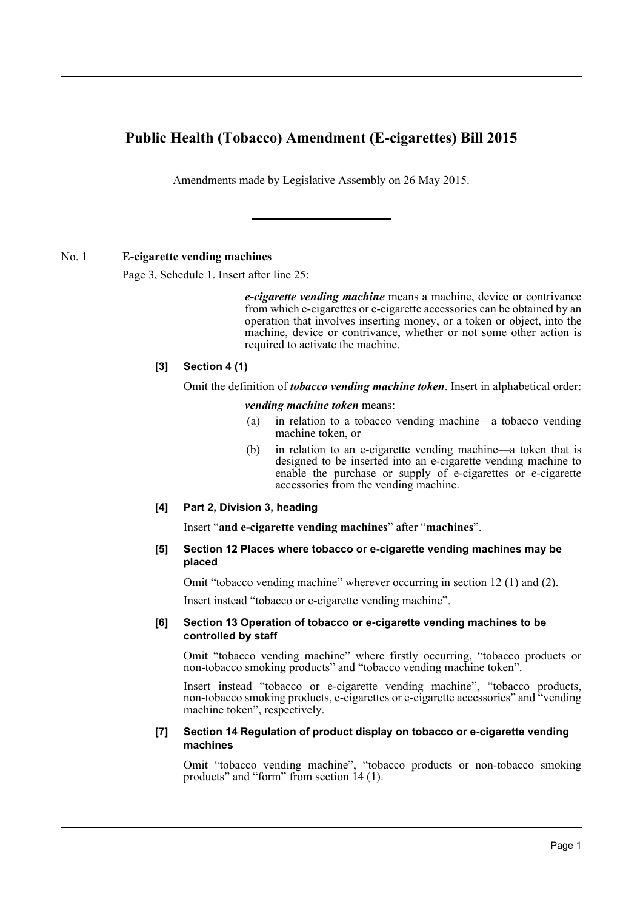# **Public Health (Tobacco) Amendment (E-cigarettes) Bill 2015**

Amendments made by Legislative Assembly on 26 May 2015.

## No. 1 **E-cigarette vending machines**

Page 3, Schedule 1. Insert after line 25:

*e-cigarette vending machine* means a machine, device or contrivance from which e-cigarettes or e-cigarette accessories can be obtained by an operation that involves inserting money, or a token or object, into the machine, device or contrivance, whether or not some other action is required to activate the machine.

## **[3] Section 4 (1)**

Omit the definition of *tobacco vending machine token*. Insert in alphabetical order:

*vending machine token* means:

- (a) in relation to a tobacco vending machine—a tobacco vending machine token, or
- (b) in relation to an e-cigarette vending machine—a token that is designed to be inserted into an e-cigarette vending machine to enable the purchase or supply of e-cigarettes or e-cigarette accessories from the vending machine.

#### **[4] Part 2, Division 3, heading**

Insert "**and e-cigarette vending machines**" after "**machines**".

#### **[5] Section 12 Places where tobacco or e-cigarette vending machines may be placed**

Omit "tobacco vending machine" wherever occurring in section 12 (1) and (2).

Insert instead "tobacco or e-cigarette vending machine".

#### **[6] Section 13 Operation of tobacco or e-cigarette vending machines to be controlled by staff**

Omit "tobacco vending machine" where firstly occurring, "tobacco products or non-tobacco smoking products" and "tobacco vending machine token".

Insert instead "tobacco or e-cigarette vending machine", "tobacco products, non-tobacco smoking products, e-cigarettes or e-cigarette accessories" and "vending machine token", respectively.

#### **[7] Section 14 Regulation of product display on tobacco or e-cigarette vending machines**

Omit "tobacco vending machine", "tobacco products or non-tobacco smoking products" and "form" from section 14 (1).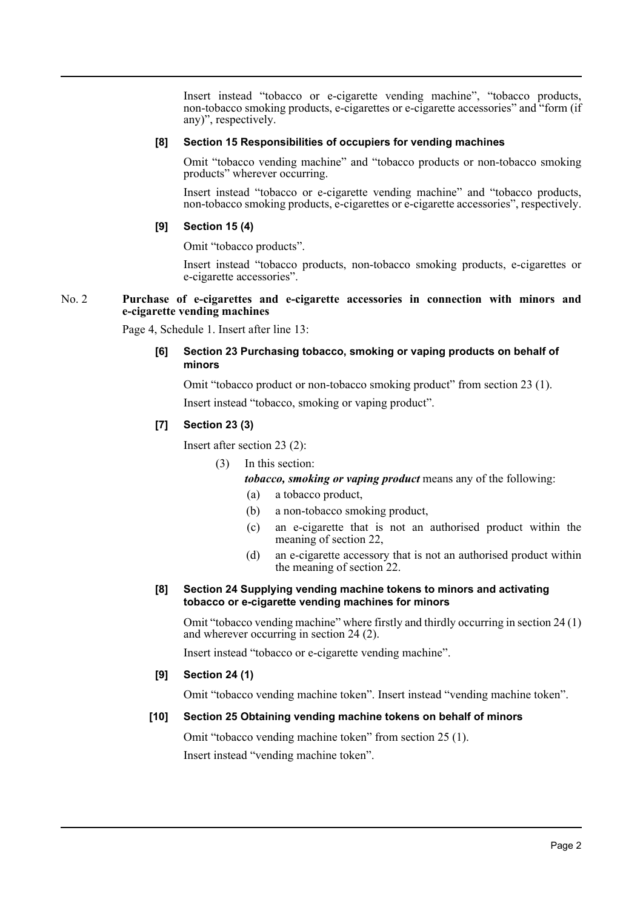Insert instead "tobacco or e-cigarette vending machine", "tobacco products, non-tobacco smoking products, e-cigarettes or e-cigarette accessories" and "form (if any)", respectively.

#### **[8] Section 15 Responsibilities of occupiers for vending machines**

Omit "tobacco vending machine" and "tobacco products or non-tobacco smoking products" wherever occurring.

Insert instead "tobacco or e-cigarette vending machine" and "tobacco products, non-tobacco smoking products, e-cigarettes or e-cigarette accessories", respectively.

#### **[9] Section 15 (4)**

Omit "tobacco products".

Insert instead "tobacco products, non-tobacco smoking products, e-cigarettes or e-cigarette accessories".

#### No. 2 **Purchase of e-cigarettes and e-cigarette accessories in connection with minors and e-cigarette vending machines**

Page 4, Schedule 1. Insert after line 13:

## **[6] Section 23 Purchasing tobacco, smoking or vaping products on behalf of minors**

Omit "tobacco product or non-tobacco smoking product" from section 23 (1).

Insert instead "tobacco, smoking or vaping product".

## **[7] Section 23 (3)**

Insert after section 23 (2):

(3) In this section:

*tobacco, smoking or vaping product* means any of the following:

- (a) a tobacco product,
- (b) a non-tobacco smoking product,
- (c) an e-cigarette that is not an authorised product within the meaning of section 22,
- (d) an e-cigarette accessory that is not an authorised product within the meaning of section 22.

#### **[8] Section 24 Supplying vending machine tokens to minors and activating tobacco or e-cigarette vending machines for minors**

Omit "tobacco vending machine" where firstly and thirdly occurring in section 24 (1) and wherever occurring in section 24 (2).

Insert instead "tobacco or e-cigarette vending machine".

#### **[9] Section 24 (1)**

Omit "tobacco vending machine token". Insert instead "vending machine token".

## **[10] Section 25 Obtaining vending machine tokens on behalf of minors**

Omit "tobacco vending machine token" from section 25 (1). Insert instead "vending machine token".